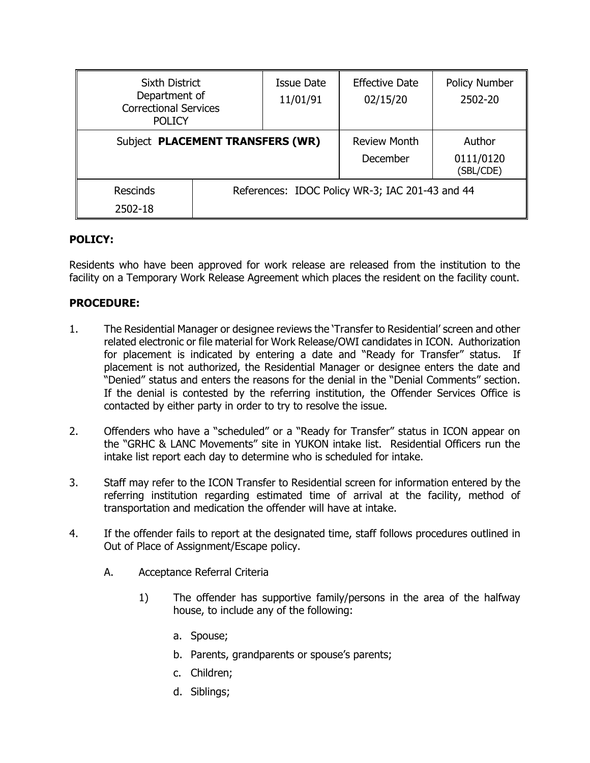| <b>Sixth District</b><br>Department of<br><b>Correctional Services</b><br><b>POLICY</b> |                                                 | <b>Issue Date</b><br>11/01/91   | <b>Effective Date</b><br>02/15/20 | <b>Policy Number</b><br>2502-20 |
|-----------------------------------------------------------------------------------------|-------------------------------------------------|---------------------------------|-----------------------------------|---------------------------------|
| Subject PLACEMENT TRANSFERS (WR)                                                        |                                                 | <b>Review Month</b><br>December | Author<br>0111/0120<br>(SBL/CDE)  |                                 |
| <b>Rescinds</b><br>2502-18                                                              | References: IDOC Policy WR-3; IAC 201-43 and 44 |                                 |                                   |                                 |

## **POLICY:**

Residents who have been approved for work release are released from the institution to the facility on a Temporary Work Release Agreement which places the resident on the facility count.

## **PROCEDURE:**

- 1. The Residential Manager or designee reviews the 'Transfer to Residential' screen and other related electronic or file material for Work Release/OWI candidates in ICON. Authorization for placement is indicated by entering a date and "Ready for Transfer" status. If placement is not authorized, the Residential Manager or designee enters the date and "Denied" status and enters the reasons for the denial in the "Denial Comments" section. If the denial is contested by the referring institution, the Offender Services Office is contacted by either party in order to try to resolve the issue.
- 2. Offenders who have a "scheduled" or a "Ready for Transfer" status in ICON appear on the "GRHC & LANC Movements" site in YUKON intake list. Residential Officers run the intake list report each day to determine who is scheduled for intake.
- 3. Staff may refer to the ICON Transfer to Residential screen for information entered by the referring institution regarding estimated time of arrival at the facility, method of transportation and medication the offender will have at intake.
- 4. If the offender fails to report at the designated time, staff follows procedures outlined in Out of Place of Assignment/Escape policy.
	- A. Acceptance Referral Criteria
		- 1) The offender has supportive family/persons in the area of the halfway house, to include any of the following:
			- a. Spouse;
			- b. Parents, grandparents or spouse's parents;
			- c. Children;
			- d. Siblings;